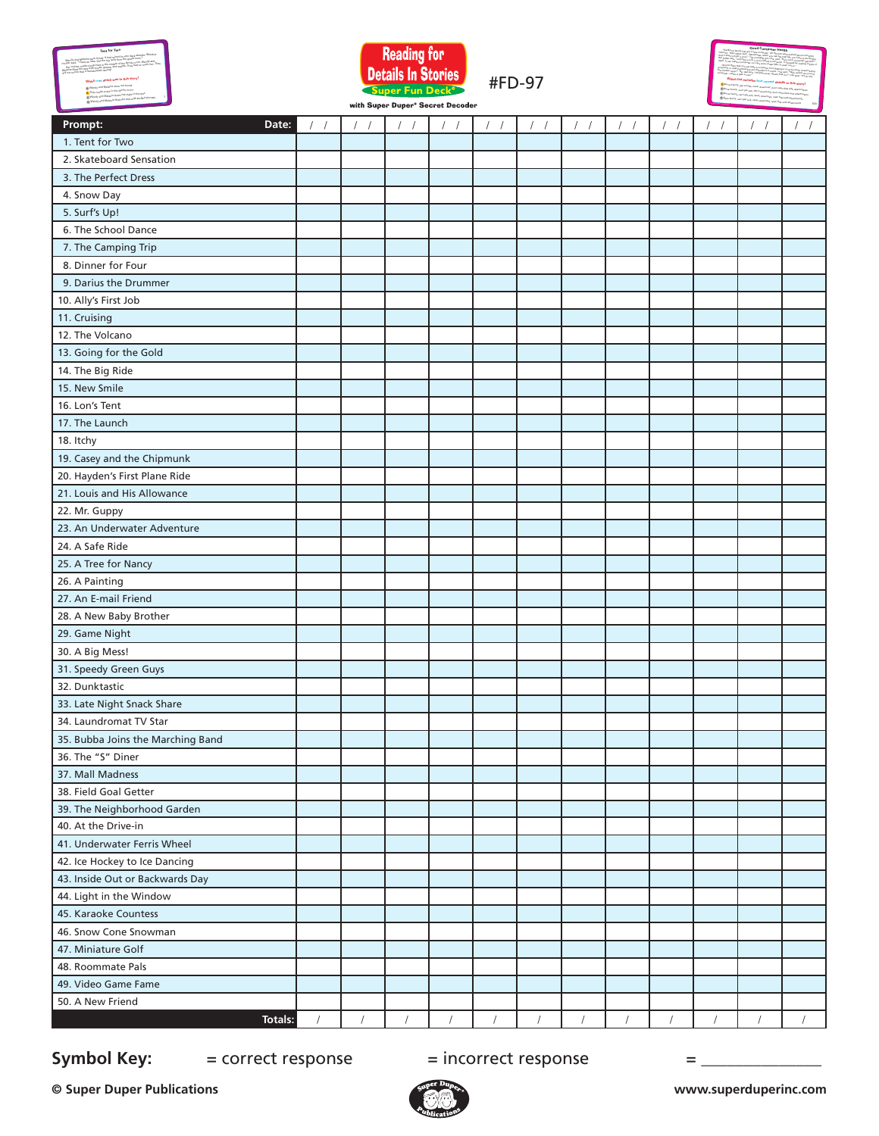





with Super Duper® Secret Decoder

#FD-97

| Prompt:<br>Date:                  | $\sqrt{2}$ | $\sqrt{2}$ | $\sqrt{2}$ |            |            | $\sqrt{2}$ | $\left  \right $ | $\frac{1}{2}$ | $\sqrt{2}$ | $\prime$   | $\sqrt{2}$ | $\frac{1}{2}$ |
|-----------------------------------|------------|------------|------------|------------|------------|------------|------------------|---------------|------------|------------|------------|---------------|
| 1. Tent for Two                   |            |            |            |            |            |            |                  |               |            |            |            |               |
| 2. Skateboard Sensation           |            |            |            |            |            |            |                  |               |            |            |            |               |
| 3. The Perfect Dress              |            |            |            |            |            |            |                  |               |            |            |            |               |
| 4. Snow Day                       |            |            |            |            |            |            |                  |               |            |            |            |               |
| 5. Surf's Up!                     |            |            |            |            |            |            |                  |               |            |            |            |               |
| 6. The School Dance               |            |            |            |            |            |            |                  |               |            |            |            |               |
| 7. The Camping Trip               |            |            |            |            |            |            |                  |               |            |            |            |               |
| 8. Dinner for Four                |            |            |            |            |            |            |                  |               |            |            |            |               |
| 9. Darius the Drummer             |            |            |            |            |            |            |                  |               |            |            |            |               |
| 10. Ally's First Job              |            |            |            |            |            |            |                  |               |            |            |            |               |
| 11. Cruising                      |            |            |            |            |            |            |                  |               |            |            |            |               |
| 12. The Volcano                   |            |            |            |            |            |            |                  |               |            |            |            |               |
| 13. Going for the Gold            |            |            |            |            |            |            |                  |               |            |            |            |               |
| 14. The Big Ride                  |            |            |            |            |            |            |                  |               |            |            |            |               |
| 15. New Smile                     |            |            |            |            |            |            |                  |               |            |            |            |               |
| 16. Lon's Tent                    |            |            |            |            |            |            |                  |               |            |            |            |               |
| 17. The Launch                    |            |            |            |            |            |            |                  |               |            |            |            |               |
| 18. Itchy                         |            |            |            |            |            |            |                  |               |            |            |            |               |
| 19. Casey and the Chipmunk        |            |            |            |            |            |            |                  |               |            |            |            |               |
| 20. Hayden's First Plane Ride     |            |            |            |            |            |            |                  |               |            |            |            |               |
| 21. Louis and His Allowance       |            |            |            |            |            |            |                  |               |            |            |            |               |
| 22. Mr. Guppy                     |            |            |            |            |            |            |                  |               |            |            |            |               |
| 23. An Underwater Adventure       |            |            |            |            |            |            |                  |               |            |            |            |               |
| 24. A Safe Ride                   |            |            |            |            |            |            |                  |               |            |            |            |               |
| 25. A Tree for Nancy              |            |            |            |            |            |            |                  |               |            |            |            |               |
| 26. A Painting                    |            |            |            |            |            |            |                  |               |            |            |            |               |
| 27. An E-mail Friend              |            |            |            |            |            |            |                  |               |            |            |            |               |
| 28. A New Baby Brother            |            |            |            |            |            |            |                  |               |            |            |            |               |
| 29. Game Night                    |            |            |            |            |            |            |                  |               |            |            |            |               |
| 30. A Big Mess!                   |            |            |            |            |            |            |                  |               |            |            |            |               |
| 31. Speedy Green Guys             |            |            |            |            |            |            |                  |               |            |            |            |               |
| 32. Dunktastic                    |            |            |            |            |            |            |                  |               |            |            |            |               |
| 33. Late Night Snack Share        |            |            |            |            |            |            |                  |               |            |            |            |               |
| 34. Laundromat TV Star            |            |            |            |            |            |            |                  |               |            |            |            |               |
| 35. Bubba Joins the Marching Band |            |            |            |            |            |            |                  |               |            |            |            |               |
| 36. The "S" Diner                 |            |            |            |            |            |            |                  |               |            |            |            |               |
| 37. Mall Madness                  |            |            |            |            |            |            |                  |               |            |            |            |               |
| 38. Field Goal Getter             |            |            |            |            |            |            |                  |               |            |            |            |               |
| 39. The Neighborhood Garden       |            |            |            |            |            |            |                  |               |            |            |            |               |
| 40. At the Drive-in               |            |            |            |            |            |            |                  |               |            |            |            |               |
| 41. Underwater Ferris Wheel       |            |            |            |            |            |            |                  |               |            |            |            |               |
| 42. Ice Hockey to Ice Dancing     |            |            |            |            |            |            |                  |               |            |            |            |               |
| 43. Inside Out or Backwards Day   |            |            |            |            |            |            |                  |               |            |            |            |               |
| 44. Light in the Window           |            |            |            |            |            |            |                  |               |            |            |            |               |
| 45. Karaoke Countess              |            |            |            |            |            |            |                  |               |            |            |            |               |
| 46. Snow Cone Snowman             |            |            |            |            |            |            |                  |               |            |            |            |               |
| 47. Miniature Golf                |            |            |            |            |            |            |                  |               |            |            |            |               |
| 48. Roommate Pals                 |            |            |            |            |            |            |                  |               |            |            |            |               |
| 49. Video Game Fame               |            |            |            |            |            |            |                  |               |            |            |            |               |
| 50. A New Friend                  |            |            |            |            |            |            |                  |               |            |            |            |               |
| Totals:                           | $\prime$   | $\sqrt{2}$ | $\sqrt{ }$ | $\sqrt{ }$ | $\sqrt{ }$ | $\sqrt{2}$ | $\sqrt{ }$       | $\sqrt{2}$    | $\sqrt{2}$ | $\sqrt{ }$ | $\sqrt{ }$ | $\sqrt{ }$    |

## **Symbol Key:**  $=$  correct response  $=$  incorrect response  $=$  \_\_\_\_\_\_\_\_\_\_\_\_\_\_\_\_\_\_\_

**© Super Duper Publications www.superduperinc.com**



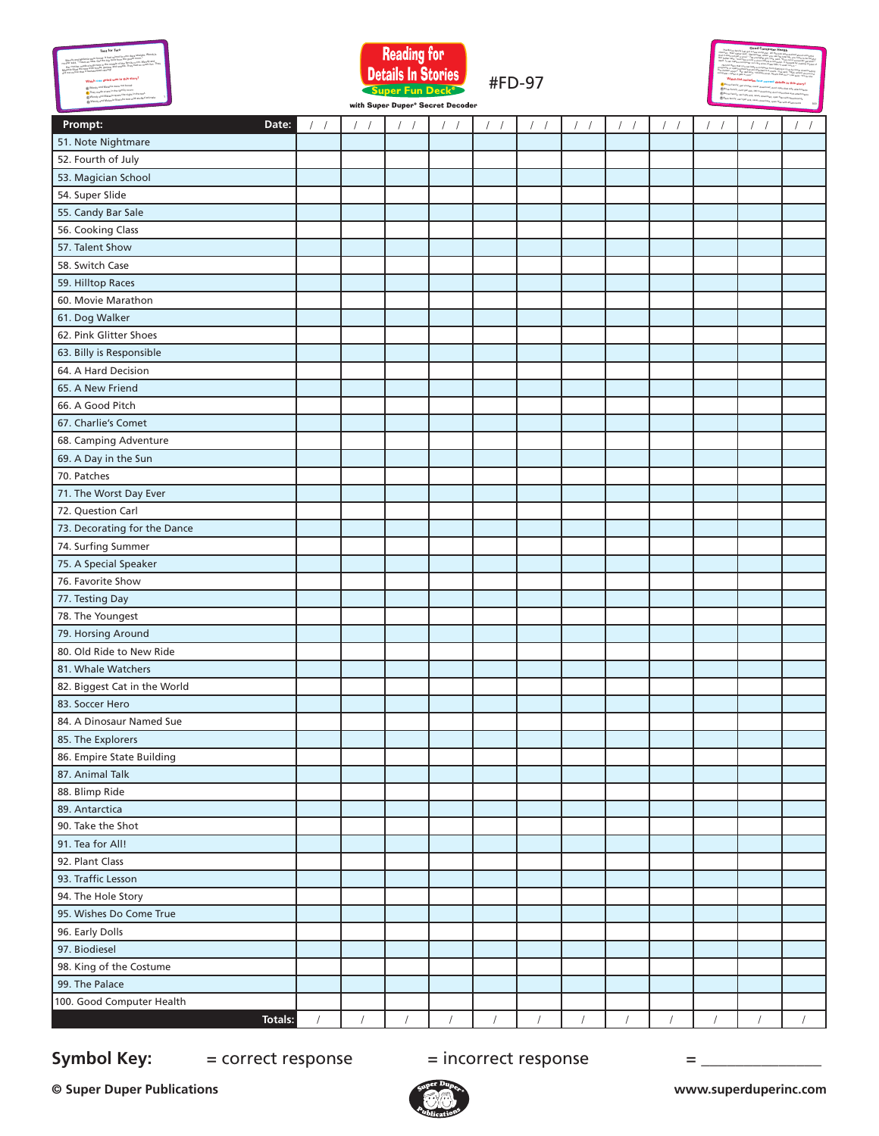



**Which list includes four correct details in this story?** © Super Duper® Publications #FD-977 (2009) \$FD-977 (2009) \$FD-977 (2009) \$FD-977 (2009) \$FD-977 (2009) \$FD-977 (2009) \$FD-977 (2009) \$FD-977 (2009) \$FD-977 (2009) \$FD-977 (2009) \$FD-977 (2009) \$FD-977 (2009) \$FD-977 (2009 **Good Computer Health** The Burns family just got a new commutation Mealth<br>were their family said, the new computer, all the kids were excited about using the<br>it then not use the family the second stress were used to have a second about using the Internet. Their father said, "Remember, which is also been easyed alread using the<br>Pad it distanced gat a visua." The your peak full line.<br>The father said. that it does not get a virus." The younker, when you was the futurest, your direct uning the<br>"Her father said, "Just fase a cost, a virus of this Lisa, said. "How can a computer to be read for<br>their." It can my to in the s Her father said, "Just like a cold, a virtual post title, said, "Jinny sa<sub>re a</sub> virt Parce to by earni<sub>ng</sub><br>Herfi, i<sub>t sam</sub> mysted fluorgoids run Viety show, a copies of the same of the problem pat skills<br>Herfi, it sam myst itself. It can make a computer run very slow, erase files, or even ruin it." He told them that you can keep a commuter from them the east said it.<br>grown as sponting files that eas allements by new particle is a virus by never downloading<br>shirten souply- plan in programs or opening files that are attached to e-mails. Lisa said, "We'll when the control of the said."<br>The stability sanger". Her stad said, "Whiteh to e-mails. Lisa said, "We'll, Where do you put<br>"Well-Will, when I said the chicken soup?" Her dad said, "Chicken soup, what's the food, "It's for the "It's formal poor"<br>"Gluenole - where it gets a sold."<br>"Chicken said, "It's for the four computer—when it gets a cold."A Burns Family, get viruses, never download, don't open files with B Bo<sub>ne</sub> Family, can't get sick, OK to download, don't open files with a<br>B Bonne Family C Burns Family, can't get sick, never download, open files with<br>D Be us how D Bean family, can't get sick, never download, open files with

with Super Duper® Secret Decoder

#FD-97

| Prompt:<br>Date:             | $\sqrt{2}$ | $\sqrt{2}$<br>$\sqrt{2}$ | $\sqrt{2}$ | $\sqrt{2}$ | $\prime$   | $\sqrt{2}$ | $\sqrt{2}$ | $\sqrt{2}$ | $\sqrt{2}$<br>$\sqrt{ }$ | $\sqrt{2}$<br>$\sqrt{ }$ | $\sqrt{2}$ |            |
|------------------------------|------------|--------------------------|------------|------------|------------|------------|------------|------------|--------------------------|--------------------------|------------|------------|
| 51. Note Nightmare           |            |                          |            |            |            |            |            |            |                          |                          |            |            |
| 52. Fourth of July           |            |                          |            |            |            |            |            |            |                          |                          |            |            |
| 53. Magician School          |            |                          |            |            |            |            |            |            |                          |                          |            |            |
| 54. Super Slide              |            |                          |            |            |            |            |            |            |                          |                          |            |            |
| 55. Candy Bar Sale           |            |                          |            |            |            |            |            |            |                          |                          |            |            |
| 56. Cooking Class            |            |                          |            |            |            |            |            |            |                          |                          |            |            |
| 57. Talent Show              |            |                          |            |            |            |            |            |            |                          |                          |            |            |
| 58. Switch Case              |            |                          |            |            |            |            |            |            |                          |                          |            |            |
| 59. Hilltop Races            |            |                          |            |            |            |            |            |            |                          |                          |            |            |
| 60. Movie Marathon           |            |                          |            |            |            |            |            |            |                          |                          |            |            |
| 61. Dog Walker               |            |                          |            |            |            |            |            |            |                          |                          |            |            |
| 62. Pink Glitter Shoes       |            |                          |            |            |            |            |            |            |                          |                          |            |            |
| 63. Billy is Responsible     |            |                          |            |            |            |            |            |            |                          |                          |            |            |
| 64. A Hard Decision          |            |                          |            |            |            |            |            |            |                          |                          |            |            |
| 65. A New Friend             |            |                          |            |            |            |            |            |            |                          |                          |            |            |
| 66. A Good Pitch             |            |                          |            |            |            |            |            |            |                          |                          |            |            |
| 67. Charlie's Comet          |            |                          |            |            |            |            |            |            |                          |                          |            |            |
| 68. Camping Adventure        |            |                          |            |            |            |            |            |            |                          |                          |            |            |
| 69. A Day in the Sun         |            |                          |            |            |            |            |            |            |                          |                          |            |            |
| 70. Patches                  |            |                          |            |            |            |            |            |            |                          |                          |            |            |
| 71. The Worst Day Ever       |            |                          |            |            |            |            |            |            |                          |                          |            |            |
| 72. Question Carl            |            |                          |            |            |            |            |            |            |                          |                          |            |            |
| 73. Decorating for the Dance |            |                          |            |            |            |            |            |            |                          |                          |            |            |
| 74. Surfing Summer           |            |                          |            |            |            |            |            |            |                          |                          |            |            |
| 75. A Special Speaker        |            |                          |            |            |            |            |            |            |                          |                          |            |            |
| 76. Favorite Show            |            |                          |            |            |            |            |            |            |                          |                          |            |            |
| 77. Testing Day              |            |                          |            |            |            |            |            |            |                          |                          |            |            |
| 78. The Youngest             |            |                          |            |            |            |            |            |            |                          |                          |            |            |
| 79. Horsing Around           |            |                          |            |            |            |            |            |            |                          |                          |            |            |
| 80. Old Ride to New Ride     |            |                          |            |            |            |            |            |            |                          |                          |            |            |
| 81. Whale Watchers           |            |                          |            |            |            |            |            |            |                          |                          |            |            |
| 82. Biggest Cat in the World |            |                          |            |            |            |            |            |            |                          |                          |            |            |
| 83. Soccer Hero              |            |                          |            |            |            |            |            |            |                          |                          |            |            |
| 84. A Dinosaur Named Sue     |            |                          |            |            |            |            |            |            |                          |                          |            |            |
| 85. The Explorers            |            |                          |            |            |            |            |            |            |                          |                          |            |            |
| 86. Empire State Building    |            |                          |            |            |            |            |            |            |                          |                          |            |            |
| 87. Animal Talk              |            |                          |            |            |            |            |            |            |                          |                          |            |            |
| 88. Blimp Ride               |            |                          |            |            |            |            |            |            |                          |                          |            |            |
| 89. Antarctica               |            |                          |            |            |            |            |            |            |                          |                          |            |            |
| 90. Take the Shot            |            |                          |            |            |            |            |            |            |                          |                          |            |            |
| 91. Tea for All!             |            |                          |            |            |            |            |            |            |                          |                          |            |            |
| 92. Plant Class              |            |                          |            |            |            |            |            |            |                          |                          |            |            |
| 93. Traffic Lesson           |            |                          |            |            |            |            |            |            |                          |                          |            |            |
| 94. The Hole Story           |            |                          |            |            |            |            |            |            |                          |                          |            |            |
| 95. Wishes Do Come True      |            |                          |            |            |            |            |            |            |                          |                          |            |            |
| 96. Early Dolls              |            |                          |            |            |            |            |            |            |                          |                          |            |            |
| 97. Biodiesel                |            |                          |            |            |            |            |            |            |                          |                          |            |            |
| 98. King of the Costume      |            |                          |            |            |            |            |            |            |                          |                          |            |            |
| 99. The Palace               |            |                          |            |            |            |            |            |            |                          |                          |            |            |
| 100. Good Computer Health    |            |                          |            |            |            |            |            |            |                          |                          |            |            |
| Totals:                      | $\sqrt{2}$ | $\sqrt{2}$               | $\prime$   | $\sqrt{2}$ | $\sqrt{2}$ | $\sqrt{2}$ | $\sqrt{2}$ | $\sqrt{2}$ | $\sqrt{2}$               | $\sqrt{2}$               | $\sqrt{2}$ | $\sqrt{2}$ |

# **Symbol Key:**  $=$  correct response  $=$  incorrect response  $=$  \_\_\_\_\_\_\_\_\_\_\_\_\_\_\_\_\_\_\_\_

**© Super Duper Publications www.superduperinc.com**